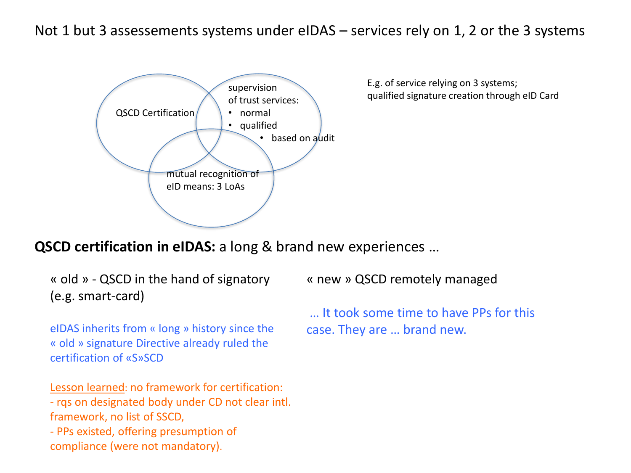## Not 1 but 3 assessements systems under eIDAS – services rely on 1, 2 or the 3 systems



E.g. of service relying on 3 systems; qualified signature creation through eID Card

**QSCD certification in eIDAS:** a long & brand new experiences …

« old » - QSCD in the hand of signatory (e.g. smart-card)

eIDAS inherits from « long » history since the « old » signature Directive already ruled the certification of «S»SCD

Lesson learned: no framework for certification: - rqs on designated body under CD not clear intl. framework, no list of SSCD, - PPs existed, offering presumption of compliance (were not mandatory).

« new » QSCD remotely managed

… It took some time to have PPs for this case. They are … brand new.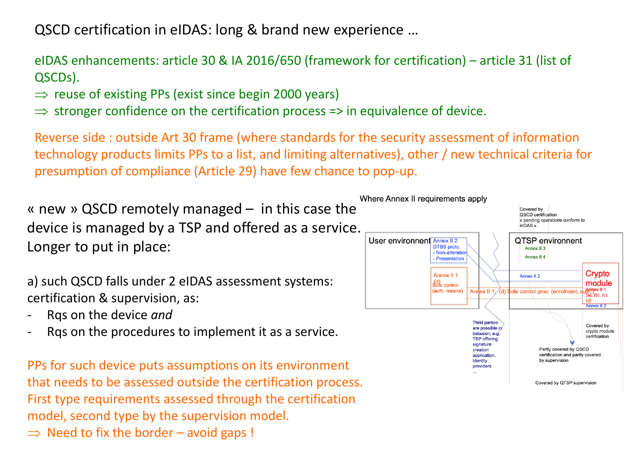QSCD certification in eIDAS: long & brand new experience …

## eIDAS enhancements: article 30 & IA 2016/650 (framework for certification) – article 31 (list of QSCDs).

- $\Rightarrow$  reuse of existing PPs (exist since begin 2000 years)
- $\Rightarrow$  stronger confidence on the certification process => in equivalence of device.

Reverse side : outside Art 30 frame (where standards for the security assessment of information technology products limits PPs to a list, and limiting alternatives), other / new technical criteria for presumption of compliance (Article 29) have few chance to pop-up.

« new » QSCD remotely managed – in this case the device is managed by a TSP and offered as a service. Longer to put in place:

a) such QSCD falls under 2 eIDAS assessment systems: certification & supervision, as:

- Rqs on the device *and*
- Rqs on the procedures to implement it as a service.

PPs for such device puts assumptions on its environment that needs to be assessed outside the certification process. First type requirements assessed through the certification model, second type by the supervision model.

 $\Rightarrow$  Need to fix the border – avoid gaps !